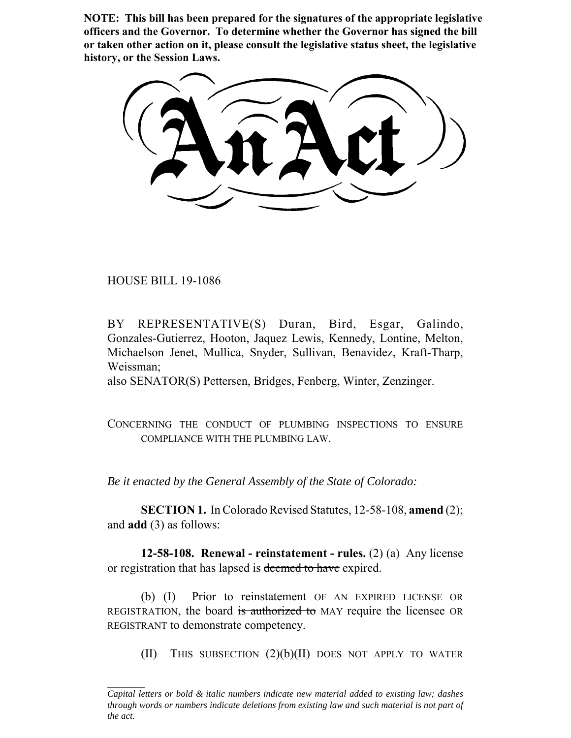**NOTE: This bill has been prepared for the signatures of the appropriate legislative officers and the Governor. To determine whether the Governor has signed the bill or taken other action on it, please consult the legislative status sheet, the legislative history, or the Session Laws.**

HOUSE BILL 19-1086

BY REPRESENTATIVE(S) Duran, Bird, Esgar, Galindo, Gonzales-Gutierrez, Hooton, Jaquez Lewis, Kennedy, Lontine, Melton, Michaelson Jenet, Mullica, Snyder, Sullivan, Benavidez, Kraft-Tharp, Weissman;

also SENATOR(S) Pettersen, Bridges, Fenberg, Winter, Zenzinger.

CONCERNING THE CONDUCT OF PLUMBING INSPECTIONS TO ENSURE COMPLIANCE WITH THE PLUMBING LAW.

*Be it enacted by the General Assembly of the State of Colorado:*

**SECTION 1.** In Colorado Revised Statutes, 12-58-108, **amend** (2); and **add** (3) as follows:

**12-58-108. Renewal - reinstatement - rules.** (2) (a) Any license or registration that has lapsed is deemed to have expired.

(b) (I) Prior to reinstatement OF AN EXPIRED LICENSE OR REGISTRATION, the board is authorized to MAY require the licensee OR REGISTRANT to demonstrate competency.

(II) THIS SUBSECTION  $(2)(b)(II)$  DOES NOT APPLY TO WATER

*Capital letters or bold & italic numbers indicate new material added to existing law; dashes through words or numbers indicate deletions from existing law and such material is not part of the act.*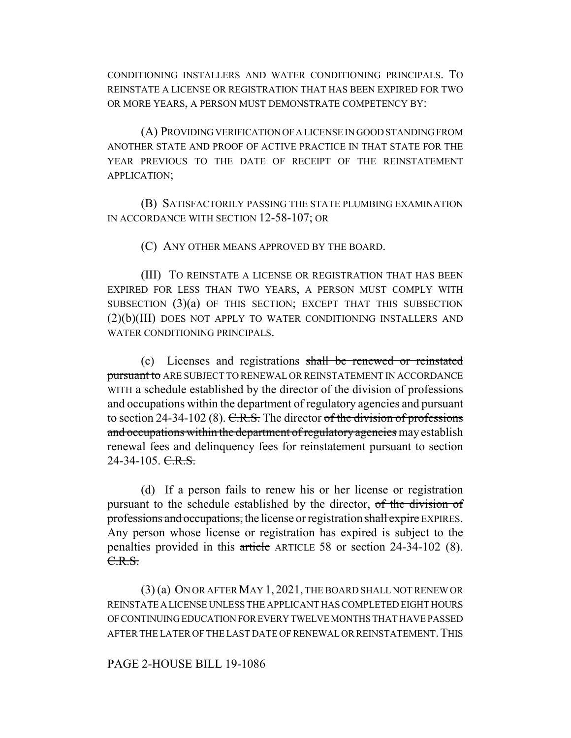CONDITIONING INSTALLERS AND WATER CONDITIONING PRINCIPALS. TO REINSTATE A LICENSE OR REGISTRATION THAT HAS BEEN EXPIRED FOR TWO OR MORE YEARS, A PERSON MUST DEMONSTRATE COMPETENCY BY:

(A) PROVIDING VERIFICATION OF A LICENSE IN GOOD STANDING FROM ANOTHER STATE AND PROOF OF ACTIVE PRACTICE IN THAT STATE FOR THE YEAR PREVIOUS TO THE DATE OF RECEIPT OF THE REINSTATEMENT APPLICATION;

(B) SATISFACTORILY PASSING THE STATE PLUMBING EXAMINATION IN ACCORDANCE WITH SECTION 12-58-107; OR

(C) ANY OTHER MEANS APPROVED BY THE BOARD.

(III) TO REINSTATE A LICENSE OR REGISTRATION THAT HAS BEEN EXPIRED FOR LESS THAN TWO YEARS, A PERSON MUST COMPLY WITH SUBSECTION (3)(a) OF THIS SECTION; EXCEPT THAT THIS SUBSECTION (2)(b)(III) DOES NOT APPLY TO WATER CONDITIONING INSTALLERS AND WATER CONDITIONING PRINCIPALS.

(c) Licenses and registrations shall be renewed or reinstated pursuant to ARE SUBJECT TO RENEWAL OR REINSTATEMENT IN ACCORDANCE WITH a schedule established by the director of the division of professions and occupations within the department of regulatory agencies and pursuant to section 24-34-102 (8).  $C.R.S.$  The director of the division of professions and occupations within the department of regulatory agencies may establish renewal fees and delinquency fees for reinstatement pursuant to section  $24-34-105.$  C.R.S.

(d) If a person fails to renew his or her license or registration pursuant to the schedule established by the director, of the division of professions and occupations, the license or registration shall expire EXPIRES. Any person whose license or registration has expired is subject to the penalties provided in this article ARTICLE 58 or section 24-34-102 (8). C.R.S.

(3) (a) ON OR AFTER MAY 1, 2021, THE BOARD SHALL NOT RENEW OR REINSTATE A LICENSE UNLESS THE APPLICANT HAS COMPLETED EIGHT HOURS OF CONTINUING EDUCATION FOR EVERY TWELVE MONTHS THAT HAVE PASSED AFTER THE LATER OF THE LAST DATE OF RENEWAL OR REINSTATEMENT. THIS

## PAGE 2-HOUSE BILL 19-1086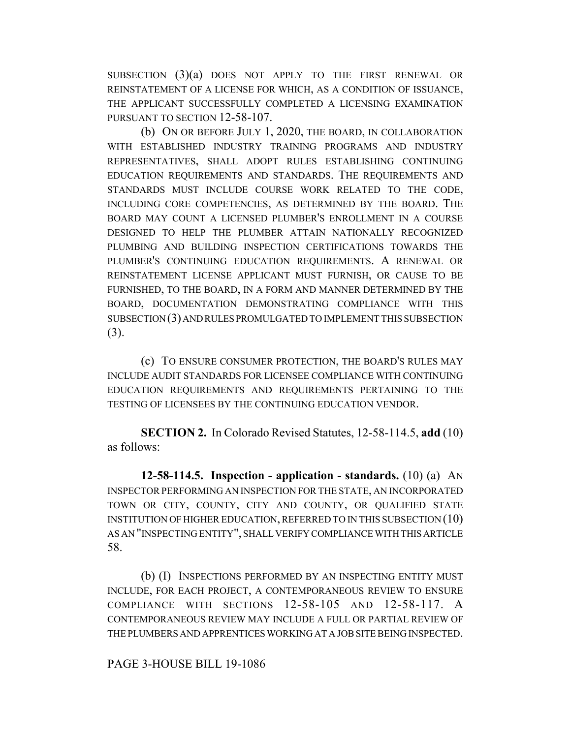SUBSECTION (3)(a) DOES NOT APPLY TO THE FIRST RENEWAL OR REINSTATEMENT OF A LICENSE FOR WHICH, AS A CONDITION OF ISSUANCE, THE APPLICANT SUCCESSFULLY COMPLETED A LICENSING EXAMINATION PURSUANT TO SECTION 12-58-107.

(b) ON OR BEFORE JULY 1, 2020, THE BOARD, IN COLLABORATION WITH ESTABLISHED INDUSTRY TRAINING PROGRAMS AND INDUSTRY REPRESENTATIVES, SHALL ADOPT RULES ESTABLISHING CONTINUING EDUCATION REQUIREMENTS AND STANDARDS. THE REQUIREMENTS AND STANDARDS MUST INCLUDE COURSE WORK RELATED TO THE CODE, INCLUDING CORE COMPETENCIES, AS DETERMINED BY THE BOARD. THE BOARD MAY COUNT A LICENSED PLUMBER'S ENROLLMENT IN A COURSE DESIGNED TO HELP THE PLUMBER ATTAIN NATIONALLY RECOGNIZED PLUMBING AND BUILDING INSPECTION CERTIFICATIONS TOWARDS THE PLUMBER'S CONTINUING EDUCATION REQUIREMENTS. A RENEWAL OR REINSTATEMENT LICENSE APPLICANT MUST FURNISH, OR CAUSE TO BE FURNISHED, TO THE BOARD, IN A FORM AND MANNER DETERMINED BY THE BOARD, DOCUMENTATION DEMONSTRATING COMPLIANCE WITH THIS SUBSECTION (3) AND RULES PROMULGATED TO IMPLEMENT THIS SUBSECTION (3).

(c) TO ENSURE CONSUMER PROTECTION, THE BOARD'S RULES MAY INCLUDE AUDIT STANDARDS FOR LICENSEE COMPLIANCE WITH CONTINUING EDUCATION REQUIREMENTS AND REQUIREMENTS PERTAINING TO THE TESTING OF LICENSEES BY THE CONTINUING EDUCATION VENDOR.

**SECTION 2.** In Colorado Revised Statutes, 12-58-114.5, **add** (10) as follows:

**12-58-114.5. Inspection - application - standards.** (10) (a) AN INSPECTOR PERFORMING AN INSPECTION FOR THE STATE, AN INCORPORATED TOWN OR CITY, COUNTY, CITY AND COUNTY, OR QUALIFIED STATE INSTITUTION OF HIGHER EDUCATION, REFERRED TO IN THIS SUBSECTION (10) AS AN "INSPECTING ENTITY", SHALL VERIFY COMPLIANCE WITH THIS ARTICLE 58.

(b) (I) INSPECTIONS PERFORMED BY AN INSPECTING ENTITY MUST INCLUDE, FOR EACH PROJECT, A CONTEMPORANEOUS REVIEW TO ENSURE COMPLIANCE WITH SECTIONS 12-58-105 AND 12-58-117. A CONTEMPORANEOUS REVIEW MAY INCLUDE A FULL OR PARTIAL REVIEW OF THE PLUMBERS AND APPRENTICES WORKING AT A JOB SITE BEING INSPECTED.

## PAGE 3-HOUSE BILL 19-1086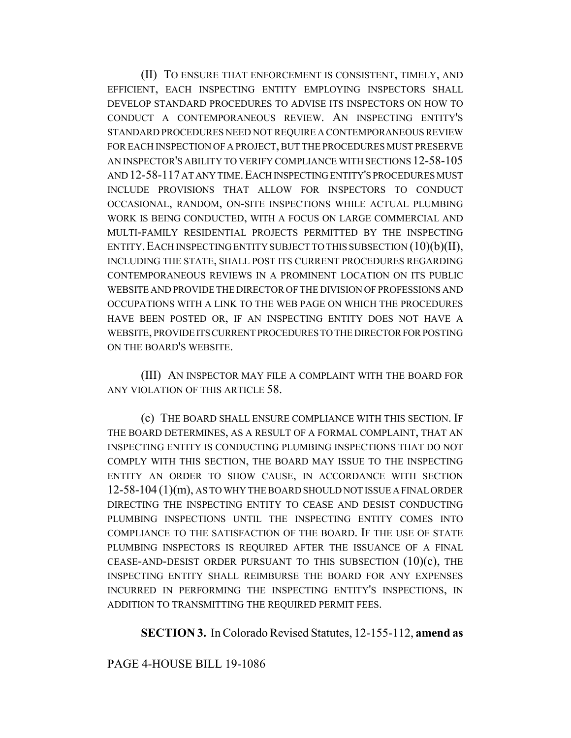(II) TO ENSURE THAT ENFORCEMENT IS CONSISTENT, TIMELY, AND EFFICIENT, EACH INSPECTING ENTITY EMPLOYING INSPECTORS SHALL DEVELOP STANDARD PROCEDURES TO ADVISE ITS INSPECTORS ON HOW TO CONDUCT A CONTEMPORANEOUS REVIEW. AN INSPECTING ENTITY'S STANDARD PROCEDURES NEED NOT REQUIRE A CONTEMPORANEOUS REVIEW FOR EACH INSPECTION OF A PROJECT, BUT THE PROCEDURES MUST PRESERVE AN INSPECTOR'S ABILITY TO VERIFY COMPLIANCE WITH SECTIONS 12-58-105 AND 12-58-117 AT ANY TIME.EACH INSPECTING ENTITY'S PROCEDURES MUST INCLUDE PROVISIONS THAT ALLOW FOR INSPECTORS TO CONDUCT OCCASIONAL, RANDOM, ON-SITE INSPECTIONS WHILE ACTUAL PLUMBING WORK IS BEING CONDUCTED, WITH A FOCUS ON LARGE COMMERCIAL AND MULTI-FAMILY RESIDENTIAL PROJECTS PERMITTED BY THE INSPECTING ENTITY. EACH INSPECTING ENTITY SUBJECT TO THIS SUBSECTION  $(10)(b)(II)$ , INCLUDING THE STATE, SHALL POST ITS CURRENT PROCEDURES REGARDING CONTEMPORANEOUS REVIEWS IN A PROMINENT LOCATION ON ITS PUBLIC WEBSITE AND PROVIDE THE DIRECTOR OF THE DIVISION OF PROFESSIONS AND OCCUPATIONS WITH A LINK TO THE WEB PAGE ON WHICH THE PROCEDURES HAVE BEEN POSTED OR, IF AN INSPECTING ENTITY DOES NOT HAVE A WEBSITE, PROVIDE ITS CURRENT PROCEDURES TO THE DIRECTOR FOR POSTING ON THE BOARD'S WEBSITE.

(III) AN INSPECTOR MAY FILE A COMPLAINT WITH THE BOARD FOR ANY VIOLATION OF THIS ARTICLE 58.

(c) THE BOARD SHALL ENSURE COMPLIANCE WITH THIS SECTION. IF THE BOARD DETERMINES, AS A RESULT OF A FORMAL COMPLAINT, THAT AN INSPECTING ENTITY IS CONDUCTING PLUMBING INSPECTIONS THAT DO NOT COMPLY WITH THIS SECTION, THE BOARD MAY ISSUE TO THE INSPECTING ENTITY AN ORDER TO SHOW CAUSE, IN ACCORDANCE WITH SECTION 12-58-104 (1)(m), AS TO WHY THE BOARD SHOULD NOT ISSUE A FINAL ORDER DIRECTING THE INSPECTING ENTITY TO CEASE AND DESIST CONDUCTING PLUMBING INSPECTIONS UNTIL THE INSPECTING ENTITY COMES INTO COMPLIANCE TO THE SATISFACTION OF THE BOARD. IF THE USE OF STATE PLUMBING INSPECTORS IS REQUIRED AFTER THE ISSUANCE OF A FINAL CEASE-AND-DESIST ORDER PURSUANT TO THIS SUBSECTION (10)(c), THE INSPECTING ENTITY SHALL REIMBURSE THE BOARD FOR ANY EXPENSES INCURRED IN PERFORMING THE INSPECTING ENTITY'S INSPECTIONS, IN ADDITION TO TRANSMITTING THE REQUIRED PERMIT FEES.

**SECTION 3.** In Colorado Revised Statutes, 12-155-112, **amend as**

PAGE 4-HOUSE BILL 19-1086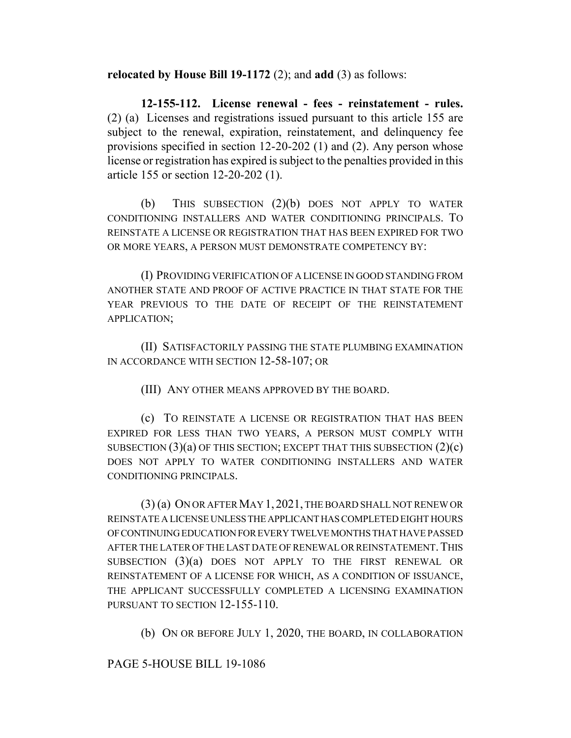**relocated by House Bill 19-1172** (2); and **add** (3) as follows:

**12-155-112. License renewal - fees - reinstatement - rules.** (2) (a) Licenses and registrations issued pursuant to this article 155 are subject to the renewal, expiration, reinstatement, and delinquency fee provisions specified in section 12-20-202 (1) and (2). Any person whose license or registration has expired is subject to the penalties provided in this article 155 or section 12-20-202 (1).

(b) THIS SUBSECTION (2)(b) DOES NOT APPLY TO WATER CONDITIONING INSTALLERS AND WATER CONDITIONING PRINCIPALS. TO REINSTATE A LICENSE OR REGISTRATION THAT HAS BEEN EXPIRED FOR TWO OR MORE YEARS, A PERSON MUST DEMONSTRATE COMPETENCY BY:

(I) PROVIDING VERIFICATION OF A LICENSE IN GOOD STANDING FROM ANOTHER STATE AND PROOF OF ACTIVE PRACTICE IN THAT STATE FOR THE YEAR PREVIOUS TO THE DATE OF RECEIPT OF THE REINSTATEMENT APPLICATION;

(II) SATISFACTORILY PASSING THE STATE PLUMBING EXAMINATION IN ACCORDANCE WITH SECTION 12-58-107; OR

(III) ANY OTHER MEANS APPROVED BY THE BOARD.

(c) TO REINSTATE A LICENSE OR REGISTRATION THAT HAS BEEN EXPIRED FOR LESS THAN TWO YEARS, A PERSON MUST COMPLY WITH SUBSECTION  $(3)(a)$  OF THIS SECTION; EXCEPT THAT THIS SUBSECTION  $(2)(c)$ DOES NOT APPLY TO WATER CONDITIONING INSTALLERS AND WATER CONDITIONING PRINCIPALS.

(3) (a) ON OR AFTER MAY 1, 2021, THE BOARD SHALL NOT RENEW OR REINSTATE A LICENSE UNLESS THE APPLICANT HAS COMPLETED EIGHT HOURS OF CONTINUING EDUCATION FOR EVERY TWELVE MONTHS THAT HAVE PASSED AFTER THE LATER OF THE LAST DATE OF RENEWAL OR REINSTATEMENT. THIS SUBSECTION (3)(a) DOES NOT APPLY TO THE FIRST RENEWAL OR REINSTATEMENT OF A LICENSE FOR WHICH, AS A CONDITION OF ISSUANCE, THE APPLICANT SUCCESSFULLY COMPLETED A LICENSING EXAMINATION PURSUANT TO SECTION 12-155-110.

(b) ON OR BEFORE JULY 1, 2020, THE BOARD, IN COLLABORATION

PAGE 5-HOUSE BILL 19-1086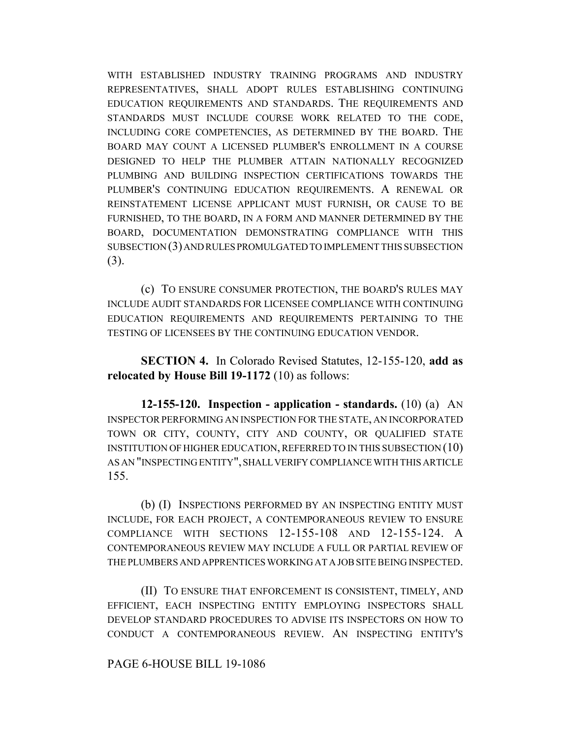WITH ESTABLISHED INDUSTRY TRAINING PROGRAMS AND INDUSTRY REPRESENTATIVES, SHALL ADOPT RULES ESTABLISHING CONTINUING EDUCATION REQUIREMENTS AND STANDARDS. THE REQUIREMENTS AND STANDARDS MUST INCLUDE COURSE WORK RELATED TO THE CODE, INCLUDING CORE COMPETENCIES, AS DETERMINED BY THE BOARD. THE BOARD MAY COUNT A LICENSED PLUMBER'S ENROLLMENT IN A COURSE DESIGNED TO HELP THE PLUMBER ATTAIN NATIONALLY RECOGNIZED PLUMBING AND BUILDING INSPECTION CERTIFICATIONS TOWARDS THE PLUMBER'S CONTINUING EDUCATION REQUIREMENTS. A RENEWAL OR REINSTATEMENT LICENSE APPLICANT MUST FURNISH, OR CAUSE TO BE FURNISHED, TO THE BOARD, IN A FORM AND MANNER DETERMINED BY THE BOARD, DOCUMENTATION DEMONSTRATING COMPLIANCE WITH THIS SUBSECTION (3) AND RULES PROMULGATED TO IMPLEMENT THIS SUBSECTION (3).

(c) TO ENSURE CONSUMER PROTECTION, THE BOARD'S RULES MAY INCLUDE AUDIT STANDARDS FOR LICENSEE COMPLIANCE WITH CONTINUING EDUCATION REQUIREMENTS AND REQUIREMENTS PERTAINING TO THE TESTING OF LICENSEES BY THE CONTINUING EDUCATION VENDOR.

**SECTION 4.** In Colorado Revised Statutes, 12-155-120, **add as relocated by House Bill 19-1172** (10) as follows:

**12-155-120. Inspection - application - standards.** (10) (a) AN INSPECTOR PERFORMING AN INSPECTION FOR THE STATE, AN INCORPORATED TOWN OR CITY, COUNTY, CITY AND COUNTY, OR QUALIFIED STATE INSTITUTION OF HIGHER EDUCATION, REFERRED TO IN THIS SUBSECTION (10) AS AN "INSPECTING ENTITY", SHALL VERIFY COMPLIANCE WITH THIS ARTICLE 155.

(b) (I) INSPECTIONS PERFORMED BY AN INSPECTING ENTITY MUST INCLUDE, FOR EACH PROJECT, A CONTEMPORANEOUS REVIEW TO ENSURE COMPLIANCE WITH SECTIONS 12-155-108 AND 12-155-124. A CONTEMPORANEOUS REVIEW MAY INCLUDE A FULL OR PARTIAL REVIEW OF THE PLUMBERS AND APPRENTICES WORKING AT A JOB SITE BEING INSPECTED.

(II) TO ENSURE THAT ENFORCEMENT IS CONSISTENT, TIMELY, AND EFFICIENT, EACH INSPECTING ENTITY EMPLOYING INSPECTORS SHALL DEVELOP STANDARD PROCEDURES TO ADVISE ITS INSPECTORS ON HOW TO CONDUCT A CONTEMPORANEOUS REVIEW. AN INSPECTING ENTITY'S

## PAGE 6-HOUSE BILL 19-1086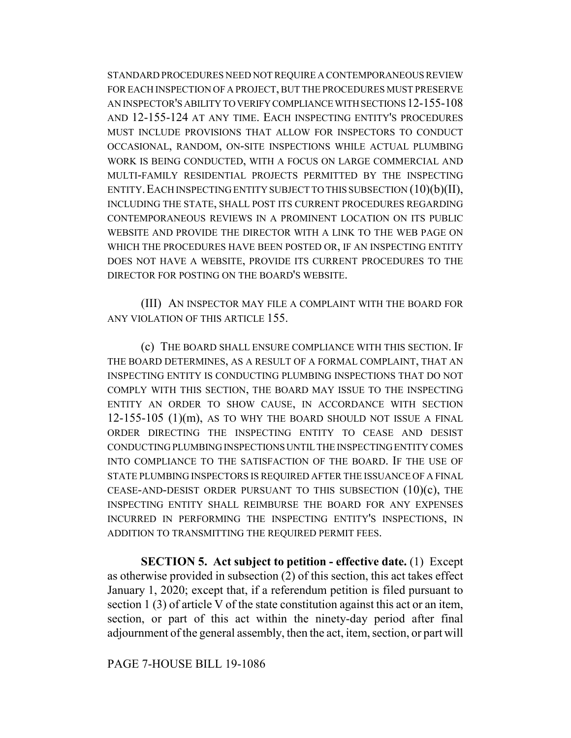STANDARD PROCEDURES NEED NOT REQUIRE A CONTEMPORANEOUS REVIEW FOR EACH INSPECTION OF A PROJECT, BUT THE PROCEDURES MUST PRESERVE AN INSPECTOR'S ABILITY TO VERIFY COMPLIANCE WITH SECTIONS 12-155-108 AND 12-155-124 AT ANY TIME. EACH INSPECTING ENTITY'S PROCEDURES MUST INCLUDE PROVISIONS THAT ALLOW FOR INSPECTORS TO CONDUCT OCCASIONAL, RANDOM, ON-SITE INSPECTIONS WHILE ACTUAL PLUMBING WORK IS BEING CONDUCTED, WITH A FOCUS ON LARGE COMMERCIAL AND MULTI-FAMILY RESIDENTIAL PROJECTS PERMITTED BY THE INSPECTING ENTITY. EACH INSPECTING ENTITY SUBJECT TO THIS SUBSECTION  $(10)(b)(II)$ , INCLUDING THE STATE, SHALL POST ITS CURRENT PROCEDURES REGARDING CONTEMPORANEOUS REVIEWS IN A PROMINENT LOCATION ON ITS PUBLIC WEBSITE AND PROVIDE THE DIRECTOR WITH A LINK TO THE WEB PAGE ON WHICH THE PROCEDURES HAVE BEEN POSTED OR, IF AN INSPECTING ENTITY DOES NOT HAVE A WEBSITE, PROVIDE ITS CURRENT PROCEDURES TO THE DIRECTOR FOR POSTING ON THE BOARD'S WEBSITE.

(III) AN INSPECTOR MAY FILE A COMPLAINT WITH THE BOARD FOR ANY VIOLATION OF THIS ARTICLE 155.

(c) THE BOARD SHALL ENSURE COMPLIANCE WITH THIS SECTION. IF THE BOARD DETERMINES, AS A RESULT OF A FORMAL COMPLAINT, THAT AN INSPECTING ENTITY IS CONDUCTING PLUMBING INSPECTIONS THAT DO NOT COMPLY WITH THIS SECTION, THE BOARD MAY ISSUE TO THE INSPECTING ENTITY AN ORDER TO SHOW CAUSE, IN ACCORDANCE WITH SECTION  $12-155-105$   $(1)(m)$ , AS TO WHY THE BOARD SHOULD NOT ISSUE A FINAL ORDER DIRECTING THE INSPECTING ENTITY TO CEASE AND DESIST CONDUCTING PLUMBING INSPECTIONS UNTIL THE INSPECTING ENTITY COMES INTO COMPLIANCE TO THE SATISFACTION OF THE BOARD. IF THE USE OF STATE PLUMBING INSPECTORS IS REQUIRED AFTER THE ISSUANCE OF A FINAL CEASE-AND-DESIST ORDER PURSUANT TO THIS SUBSECTION  $(10)(c)$ , THE INSPECTING ENTITY SHALL REIMBURSE THE BOARD FOR ANY EXPENSES INCURRED IN PERFORMING THE INSPECTING ENTITY'S INSPECTIONS, IN ADDITION TO TRANSMITTING THE REQUIRED PERMIT FEES.

**SECTION 5. Act subject to petition - effective date.** (1) Except as otherwise provided in subsection (2) of this section, this act takes effect January 1, 2020; except that, if a referendum petition is filed pursuant to section 1 (3) of article V of the state constitution against this act or an item, section, or part of this act within the ninety-day period after final adjournment of the general assembly, then the act, item, section, or part will

PAGE 7-HOUSE BILL 19-1086